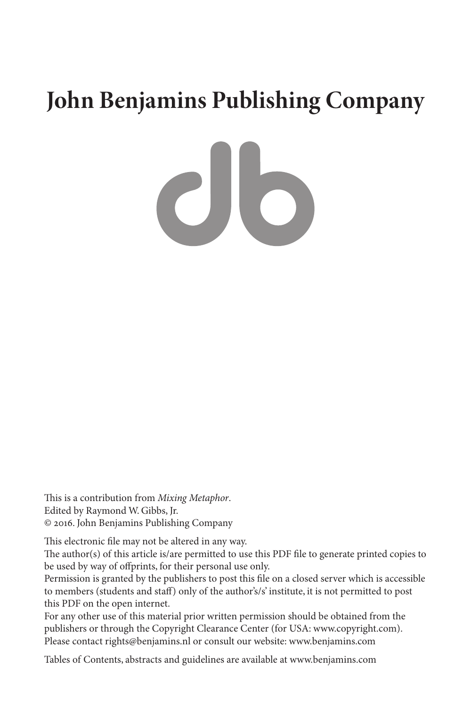# **John Benjamins Publishing Company**

 $c$ lo

This is a contribution from *Mixing Metaphor*. Edited by Raymond W. Gibbs, Jr. © 2016. John Benjamins Publishing Company

This electronic file may not be altered in any way.

The author(s) of this article is/are permitted to use this PDF file to generate printed copies to be used by way of offprints, for their personal use only.

Permission is granted by the publishers to post this file on a closed server which is accessible to members (students and staff) only of the author's/s' institute, it is not permitted to post this PDF on the open internet.

For any other use of this material prior written permission should be obtained from the publishers or through the Copyright Clearance Center (for USA: [www.copyright.com](http://www.copyright.com)). Please contact [rights@benjamins.nl](mailto:rights@benjamins.nl) or consult our website: [www.benjamins.com](http://www.benjamins.com)

Tables of Contents, abstracts and guidelines are available at [www.benjamins.com](http://www.benjamins.com)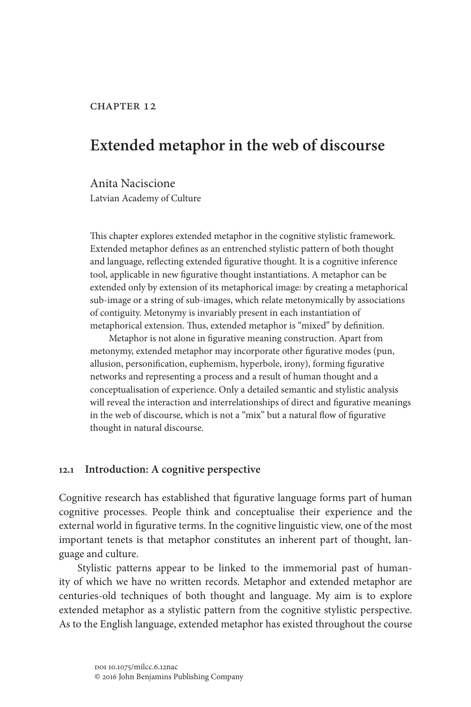# **Extended metaphor in the web of discourse**

Anita Naciscione Latvian Academy of Culture

This chapter explores extended metaphor in the cognitive stylistic framework. Extended metaphor defines as an entrenched stylistic pattern of both thought and language, reflecting extended figurative thought. It is a cognitive inference tool, applicable in new figurative thought instantiations. A metaphor can be extended only by extension of its metaphorical image: by creating a metaphorical sub-image or a string of sub-images, which relate metonymically by associations of contiguity. Metonymy is invariably present in each instantiation of metaphorical extension. Thus, extended metaphor is "mixed" by definition.

Metaphor is not alone in figurative meaning construction. Apart from metonymy, extended metaphor may incorporate other figurative modes (pun, allusion, personification, euphemism, hyperbole, irony), forming figurative networks and representing a process and a result of human thought and a conceptualisation of experience. Only a detailed semantic and stylistic analysis will reveal the interaction and interrelationships of direct and figurative meanings in the web of discourse, which is not a "mix" but a natural flow of figurative thought in natural discourse.

## **12.1 Introduction: A cognitive perspective**

Cognitive research has established that figurative language forms part of human cognitive processes. People think and conceptualise their experience and the external world in figurative terms. In the cognitive linguistic view, one of the most important tenets is that metaphor constitutes an inherent part of thought, language and culture.

Stylistic patterns appear to be linked to the immemorial past of humanity of which we have no written records. Metaphor and extended metaphor are centuries-old techniques of both thought and language. My aim is to explore extended metaphor as a stylistic pattern from the cognitive stylistic perspective. As to the English language, extended metaphor has existed throughout the course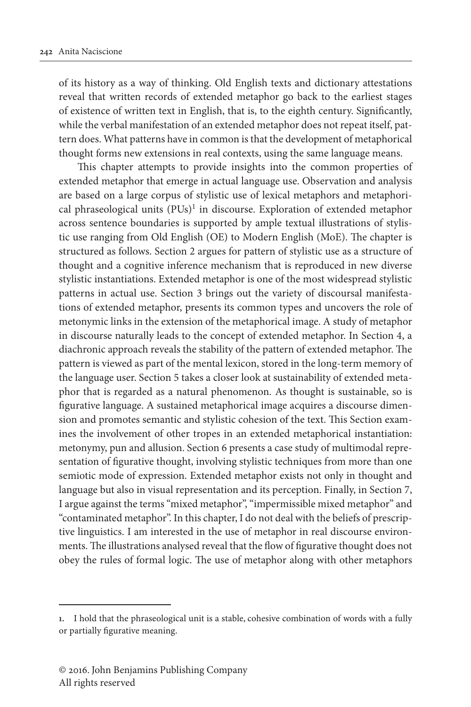of its history as a way of thinking. Old English texts and dictionary attestations reveal that written records of extended metaphor go back to the earliest stages of existence of written text in English, that is, to the eighth century. Significantly, while the verbal manifestation of an extended metaphor does not repeat itself, pattern does. What patterns have in common is that the development of metaphorical thought forms new extensions in real contexts, using the same language means.

This chapter attempts to provide insights into the common properties of extended metaphor that emerge in actual language use. Observation and analysis are based on a large corpus of stylistic use of lexical metaphors and metaphorical phraseological units (PUs)<sup>1</sup> in discourse. Exploration of extended metaphor across sentence boundaries is supported by ample textual illustrations of stylistic use ranging from Old English (OE) to Modern English (MoE). The chapter is structured as follows. Section 2 argues for pattern of stylistic use as a structure of thought and a cognitive inference mechanism that is reproduced in new diverse stylistic instantiations. Extended metaphor is one of the most widespread stylistic patterns in actual use. Section 3 brings out the variety of discoursal manifestations of extended metaphor, presents its common types and uncovers the role of metonymic links in the extension of the metaphorical image. A study of metaphor in discourse naturally leads to the concept of extended metaphor. In Section 4, a diachronic approach reveals the stability of the pattern of extended metaphor. The pattern is viewed as part of the mental lexicon, stored in the long-term memory of the language user. Section 5 takes a closer look at sustainability of extended metaphor that is regarded as a natural phenomenon. As thought is sustainable, so is figurative language. A sustained metaphorical image acquires a discourse dimension and promotes semantic and stylistic cohesion of the text. This Section examines the involvement of other tropes in an extended metaphorical instantiation: metonymy, pun and allusion. Section 6 presents a case study of multimodal representation of figurative thought, involving stylistic techniques from more than one semiotic mode of expression. Extended metaphor exists not only in thought and language but also in visual representation and its perception. Finally, in Section 7, I argue against the terms "mixed metaphor", "impermissible mixed metaphor" and "contaminated metaphor". In this chapter, I do not deal with the beliefs of prescrip‑ tive linguistics. I am interested in the use of metaphor in real discourse environments. The illustrations analysed reveal that the flow of figurative thought does not obey the rules of formal logic. The use of metaphor along with other metaphors

**<sup>.</sup>**  I hold that the phraseological unit is a stable, cohesive combination of words with a fully or partially figurative meaning.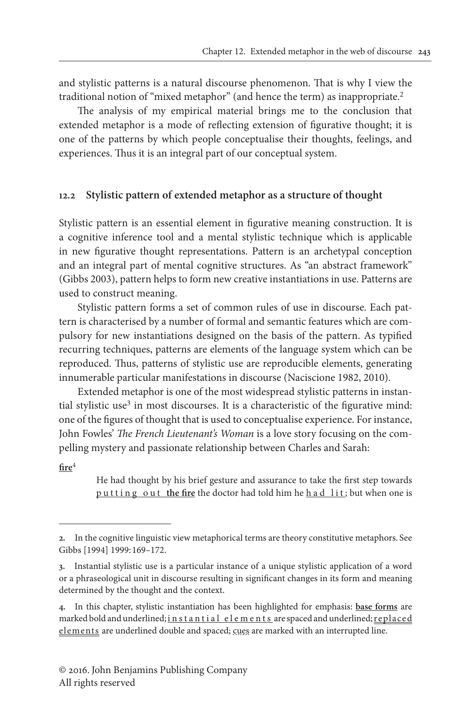and stylistic patterns is a natural discourse phenomenon. That is why I view the traditional notion of "mixed metaphor" (and hence the term) as inappropriate.<sup>2</sup>

The analysis of my empirical material brings me to the conclusion that extended metaphor is a mode of reflecting extension of figurative thought; it is one of the patterns by which people conceptualise their thoughts, feelings, and experiences. Thus it is an integral part of our conceptual system.

## **12.2 Stylistic pattern of extended metaphor as a structure of thought**

Stylistic pattern is an essential element in figurative meaning construction. It is a cognitive inference tool and a mental stylistic technique which is applicable in new figurative thought representations. Pattern is an archetypal conception and an integral part of mental cognitive structures. As "an abstract framework" [\(Gibbs 2003](#page-25-0)), pattern helps to form new creative instantiations in use. Patterns are used to construct meaning.

Stylistic pattern forms a set of common rules of use in discourse. Each pattern is characterised by a number of formal and semantic features which are compulsory for new instantiations designed on the basis of the pattern. As typified recurring techniques, patterns are elements of the language system which can be reproduced. Thus, patterns of stylistic use are reproducible elements, generating innumerable particular manifestations in discourse ([Naciscione 1982](#page-25-1), [2010](#page-25-2)).

Extended metaphor is one of the most widespread stylistic patterns in instantial stylistic use<sup>3</sup> in most discourses. It is a characteristic of the figurative mind: one of the figures of thought that is used to conceptualise experience. For instance, John Fowles' *The French Lieutenant's Woman* is a love story focusing on the compelling mystery and passionate relationship between Charles and Sarah:

**fire**<sup>4</sup>

He had thought by his brief gesture and assurance to take the first step towards putting out the fire the doctor had told him he had lit; but when one is

**<sup>.</sup>**  In the cognitive linguistic view metaphorical terms are theory constitutive metaphors. See [Gibbs \[1994](#page-25-3)] [1999](#page-25-4):169–172.

**<sup>.</sup>**  Instantial stylistic use is a particular instance of a unique stylistic application of a word or a phraseological unit in discourse resulting in significant changes in its form and meaning determined by the thought and the context.

**<sup>.</sup>**  In this chapter, stylistic instantiation has been highlighted for emphasis: **base forms** are marked bold and underlined; instantial elements are spaced and underlined; replaced elements are underlined double and spaced; cues are marked with an interrupted line.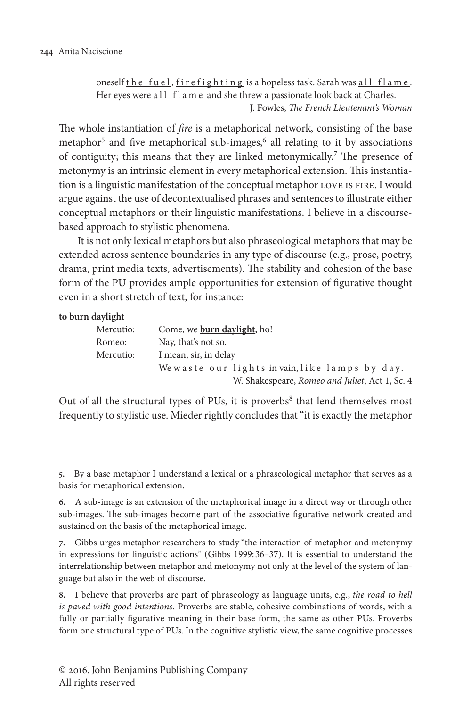oneself the fuel, fire fighting is a hopeless task. Sarah was all flame. Her eyes were all flame and she threw a passionate look back at Charles. J. Fowles, *The French Lieutenant's Woman*

The whole instantiation of *fire* is a metaphorical network, consisting of the base metaphor<sup>5</sup> and five metaphorical sub-images,<sup>6</sup> all relating to it by associations of contiguity; this means that they are linked metonymically.7 The presence of metonymy is an intrinsic element in every metaphorical extension. This instantiation is a linguistic manifestation of the conceptual metaphor love is fire. I would argue against the use of decontextualised phrases and sentences to illustrate either conceptual metaphors or their linguistic manifestations. I believe in a discoursebased approach to stylistic phenomena.

It is not only lexical metaphors but also phraseological metaphors that may be extended across sentence boundaries in any type of discourse (e.g., prose, poetry, drama, print media texts, advertisements). The stability and cohesion of the base form of the PU provides ample opportunities for extension of figurative thought even in a short stretch of text, for instance:

#### **to burn daylight**

| Mercutio: | Come, we burn daylight, ho!                    |
|-----------|------------------------------------------------|
| Romeo:    | Nay, that's not so.                            |
| Mercutio: | I mean, sir, in delay                          |
|           | Wewaste our lights in vain, like lamps by day. |
|           | W. Shakespeare, Romeo and Juliet, Act 1, Sc. 4 |

Out of all the structural types of PUs, it is proverbs<sup>8</sup> that lend themselves most frequently to stylistic use. Mieder rightly concludes that "it is exactly the metaphor

**<sup>.</sup>**  By a base metaphor I understand a lexical or a phraseological metaphor that serves as a basis for metaphorical extension.

**<sup>.</sup>**  A sub-image is an extension of the metaphorical image in a direct way or through other sub-images. The sub-images become part of the associative figurative network created and sustained on the basis of the metaphorical image.

**<sup>.</sup>**  Gibbs urges metaphor researchers to study "the interaction of metaphor and metonymy in expressions for linguistic actions" [\(Gibbs 1999:](#page-25-4)36–37). It is essential to understand the interrelationship between metaphor and metonymy not only at the level of the system of language but also in the web of discourse.

**<sup>.</sup>**  I believe that proverbs are part of phraseology as language units, e.g., *the road to hell is paved with good intentions.* Proverbs are stable, cohesive combinations of words, with a fully or partially figurative meaning in their base form, the same as other PUs. Proverbs form one structural type of PUs. In the cognitive stylistic view, the same cognitive processes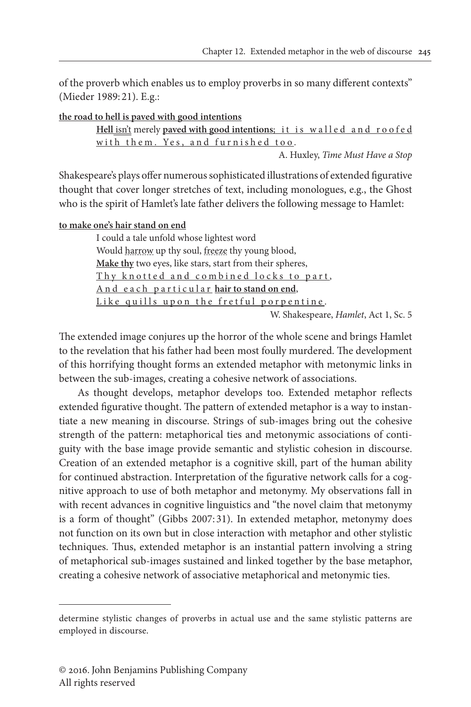of the proverb which enables us to employ proverbs in so many different contexts" [\(Mieder 1989](#page-25-5): 21). E.g.:

#### **the road to hell is paved with good intentions**

Hell isn't merely paved with good intentions; it is walled and roofed with them. Yes, and furnished too.

A. Huxley, *Time Must Have a Stop*

Shakespeare's plays offer numerous sophisticated illustrations of extended figurative thought that cover longer stretches of text, including monologues, e.g., the Ghost who is the spirit of Hamlet's late father delivers the following message to Hamlet:

#### **to make one's hair stand on end**

I could a tale unfold whose lightest word Would harrow up thy soul, freeze thy young blood, **Make thy** two eyes, like stars, start from their spheres, Thy knotted and combined locks to part, And each particular **hair to stand on end**, Like quills upon the fretful porpentine. W. Shakespeare, *Hamlet*, Act 1, Sc. 5

The extended image conjures up the horror of the whole scene and brings Hamlet to the revelation that his father had been most foully murdered. The development of this horrifying thought forms an extended metaphor with metonymic links in between the sub-images, creating a cohesive network of associations.

As thought develops, metaphor develops too. Extended metaphor reflects extended figurative thought. The pattern of extended metaphor is a way to instantiate a new meaning in discourse. Strings of sub-images bring out the cohesive strength of the pattern: metaphorical ties and metonymic associations of contiguity with the base image provide semantic and stylistic cohesion in discourse. Creation of an extended metaphor is a cognitive skill, part of the human ability for continued abstraction. Interpretation of the figurative network calls for a cognitive approach to use of both metaphor and metonymy. My observations fall in with recent advances in cognitive linguistics and "the novel claim that metonymy is a form of thought" [\(Gibbs 2007:](#page-25-6) 31). In extended metaphor, metonymy does not function on its own but in close interaction with metaphor and other stylistic techniques. Thus, extended metaphor is an instantial pattern involving a string of metaphorical sub-images sustained and linked together by the base metaphor, creating a cohesive network of associative metaphorical and metonymic ties.

determine stylistic changes of proverbs in actual use and the same stylistic patterns are employed in discourse.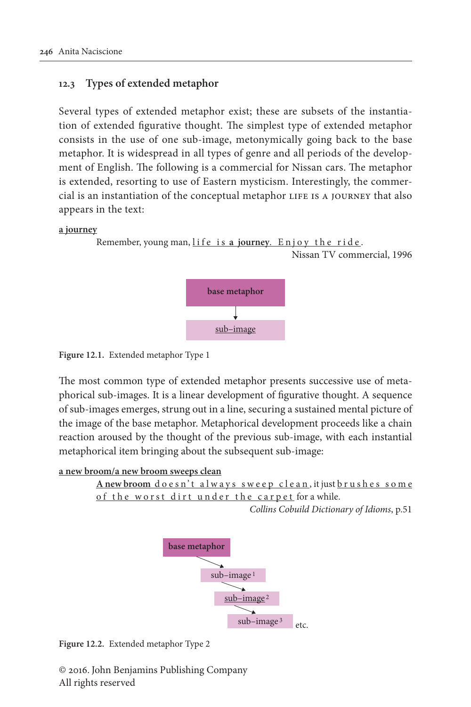# **12.3 Types of extended metaphor**

Several types of extended metaphor exist; these are subsets of the instantiation of extended figurative thought. The simplest type of extended metaphor consists in the use of one sub-image, metonymically going back to the base metaphor. It is widespread in all types of genre and all periods of the development of English. The following is a commercial for Nissan cars. The metaphor is extended, resorting to use of Eastern mysticism. Interestingly, the commercial is an instantiation of the conceptual metaphor life is a journey that also appears in the text:

#### **a journey**

```
Remember, young man, life is a journey. Enjoy the ride .
                                          Nissan TV commercial, 1996
```


**Figure 12.1.** Extended metaphor Type 1

The most common type of extended metaphor presents successive use of metaphorical sub-images. It is a linear development of figurative thought. A sequence of sub-images emerges, strung out in a line, securing a sustained mental picture of the image of the base metaphor. Metaphorical development proceeds like a chain reaction aroused by the thought of the previous sub-image, with each instantial metaphorical item bringing about the subsequent sub-image:

```
a new broom/a new broom sweeps clean
```

```
A new broom doesn't always sweep clean, it just brushes some
of the worst dirt under the carpet for a while.
```
*Collins Cobuild Dictionary of Idioms*, p.51



**Figure 12.2.** Extended metaphor Type 2

© 2016. John Benjamins Publishing Company All rights reserved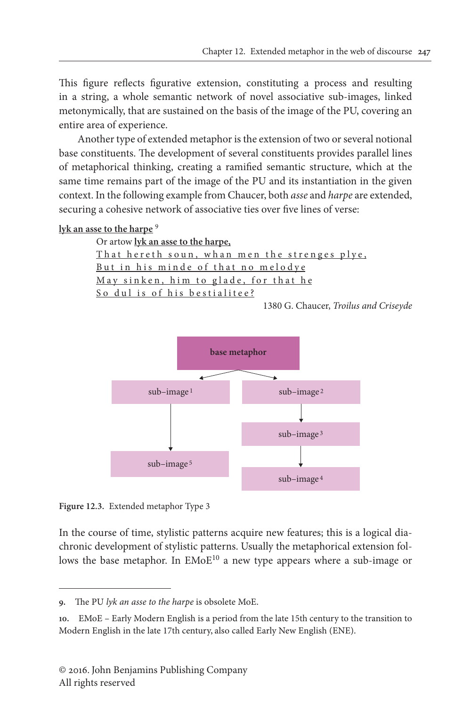This figure reflects figurative extension, constituting a process and resulting in a string, a whole semantic network of novel associative sub-images, linked metonymically, that are sustained on the basis of the image of the PU, covering an entire area of experience.

Another type of extended metaphor is the extension of two or several notional base constituents. The development of several constituents provides parallel lines of metaphorical thinking, creating a ramified semantic structure, which at the same time remains part of the image of the PU and its instantiation in the given context. In the following example from Chaucer, both *asse* and *harpe* are extended, securing a cohesive network of associative ties over five lines of verse:

#### **lyk an asse to the harpe** <sup>9</sup>

Or artow **lyk an asse to the harpe,** That hereth soun, whan men the strenges plye, But in his minde of that no melodye May sinken, him to glade, for that he So dul is of his bestialitee?

1380 G. Chaucer, *Troilus and Criseyde*



**Figure 12.3.** Extended metaphor Type 3

In the course of time, stylistic patterns acquire new features; this is a logical diachronic development of stylistic patterns. Usually the metaphorical extension follows the base metaphor. In EMoE<sup>10</sup> a new type appears where a sub-image or

**<sup>.</sup>**  The PU *lyk an asse to the harpe* is obsolete MoE.

**<sup>.</sup>**  EMoE – Early Modern English is a period from the late 15th century to the transition to Modern English in the late 17th century, also called Early New English (ENE).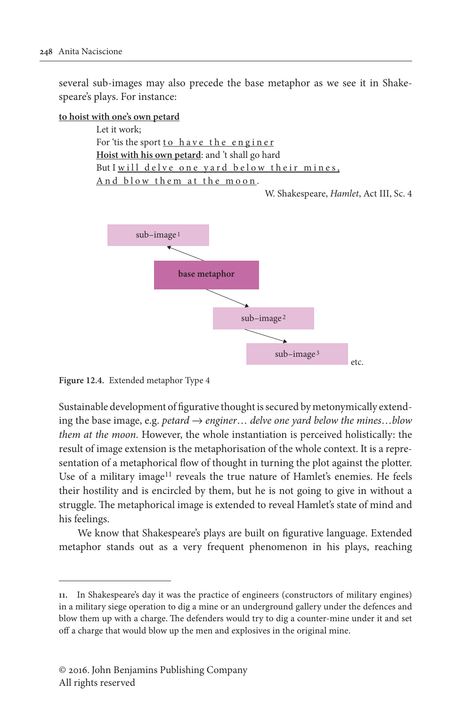several sub-images may also precede the base metaphor as we see it in Shake– speare's plays. For instance:

#### **to hoist with one's own petard**

Let it work; For 'tis the sport to have the enginer **Hoist with his own petard**: and 't shall go hard But I will delve one yard below their mines, And blow them at the moon .

W. Shakespeare, *Hamlet*, Act III, Sc. 4



**Figure 12.4.** Extended metaphor Type 4

Sustainable development of figurative thought is secured by metonymically extending the base image, e.g. *petard* → *enginer*… *delve one yard below the mines*…*blow them at the moon*. However, the whole instantiation is perceived holistically: the result of image extension is the metaphorisation of the whole context. It is a representation of a metaphorical flow of thought in turning the plot against the plotter. Use of a military image<sup>11</sup> reveals the true nature of Hamlet's enemies. He feels their hostility and is encircled by them, but he is not going to give in without a struggle. The metaphorical image is extended to reveal Hamlet's state of mind and his feelings.

We know that Shakespeare's plays are built on figurative language. Extended metaphor stands out as a very frequent phenomenon in his plays, reaching

**<sup>.</sup>**  In Shakespeare's day it was the practice of engineers (constructors of military engines) in a military siege operation to dig a mine or an underground gallery under the defences and blow them up with a charge. The defenders would try to dig a counter-mine under it and set off a charge that would blow up the men and explosives in the original mine.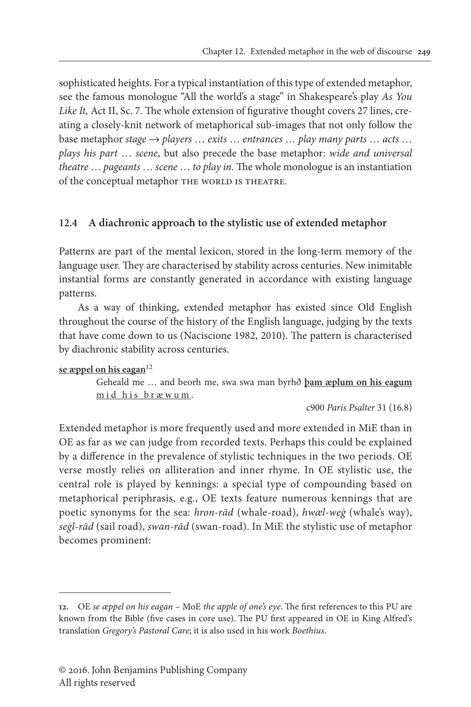sophisticated heights. For a typical instantiation of this type of extended metaphor, see the famous monologue "All the world's a stage" in Shakespeare's play *As You*  Like It, Act II, Sc. 7. The whole extension of figurative thought covers 27 lines, creating a closely-knit network of metaphorical sub-images that not only follow the base metaphor *stage* → *players* … *exits* … *entrances* … *play many parts* … *acts* … *plays his part* … *scene*, but also precede the base metaphor: *wide and universal theatre* … *pageants* … *scene* … *to play in.* The whole monologue is an instantiation of the conceptual metaphor THE WORLD IS THEATRE.

# **12.4 A diachronic approach to the stylistic use of extended metaphor**

Patterns are part of the mental lexicon, stored in the long-term memory of the language user. They are characterised by stability across centuries. New inimitable instantial forms are constantly generated in accordance with existing language patterns.

As a way of thinking, extended metaphor has existed since Old English throughout the course of the history of the English language, judging by the texts that have come down to us ([Naciscione 1982,](#page-25-1) [2010](#page-25-2)). The pattern is characterised by diachronic stability across centuries.

**se æppel on his eagan**<sup>12</sup>

Geheald me … and beorh me, swa swa man byrhð **þam æplum on his eagum** mid his bræwum .

c900 *Paris Psalter* 31 (16.8)

Extended metaphor is more frequently used and more extended in MiE than in OE as far as we can judge from recorded texts. Perhaps this could be explained by a difference in the prevalence of stylistic techniques in the two periods. OE verse mostly relies on alliteration and inner rhyme. In OE stylistic use, the central role is played by kennings: a special type of compounding based on metaphorical periphrasis, e.g., OE texts feature numerous kennings that are poetic synonyms for the sea: *hron-rād* (whale-road), *hwæl-weġ* (whale's way), *seġl-rād* (sail road), *swan-rād* (swan-road). In MiE the stylistic use of metaphor becomes prominent:

**<sup>.</sup>**  OE *se æppel on his eagan* – MoE *the apple of one's eye*. The first references to this PU are known from the Bible (five cases in core use). The PU first appeared in OE in [King Alfred](http://en.wikipedia.org/wiki/King_Aelfred)'s translation *Gregory's Pastoral Care*; it is also used in his work *Boethius*.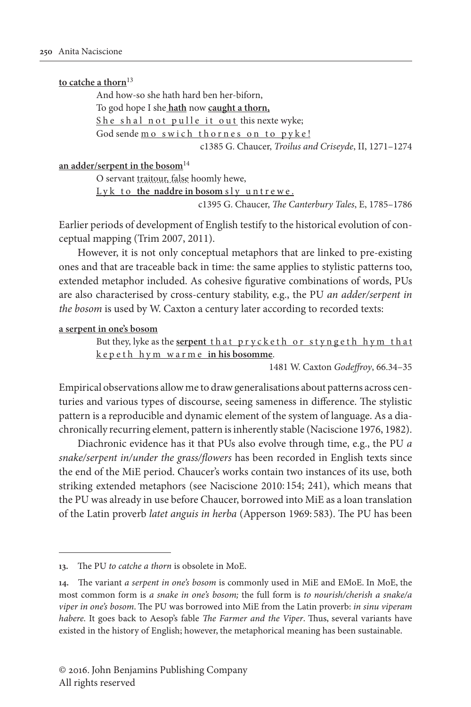#### **to catche a thorn**<sup>13</sup>

And how-so she hath hard ben her-biforn, To god hope I she **hath** now **caught a thorn,** She shal not pulle it out this nexte wyke; God sende mo swich thornes on to pyke! c1385 G. Chaucer, *Troilus and Criseyde*, II, 1271–1274

#### **an adder/serpent in the bosom**<sup>14</sup>

O servant traitour, false hoomly hewe, Lyk to **the naddre in bosom** sly untrewe. c1395 G. Chaucer, *The Canterbury Tales*, E, 1785–1786

Earlier periods of development of English testify to the historical evolution of conceptual mapping ([Trim 2007](#page-26-0), [2011\)](#page-26-1).

However, it is not only conceptual metaphors that are linked to pre-existing ones and that are traceable back in time: the same applies to stylistic patterns too, extended metaphor included. As cohesive figurative combinations of words, PUs are also characterised by cross-century stability, e.g., the PU *an adder/serpent in the bosom* is used by W. Caxton a century later according to recorded texts:

#### **a serpent in one's bosom**

But they, lyke as the **serpent** that prycketh or styngeth hym that kepeth hym warme **in his bosomme**.

1481 W. Caxton *Godeffroy*, 66.34–35

Empirical observations allow me to draw generalisations about patterns across centuries and various types of discourse, seeing sameness in difference. The stylistic pattern is a reproducible and dynamic element of the system of language. As a diachronically recurring element, pattern is inherently stable ([Naciscione 1976,](#page-25-7) [1982\)](#page-25-1).

Diachronic evidence has it that PUs also evolve through time, e.g., the PU *a snake/serpent in/under the grass/flowers* has been recorded in English texts since the end of the MiE period. Chaucer's works contain two instances of its use, both striking extended metaphors (see [Naciscione 2010:](#page-25-2) 154; 241), which means that the PU was already in use before Chaucer, borrowed into MiE as a loan translation of the Latin proverb *latet anguis in herba* [\(Apperson 1969](#page-24-0): 583). The PU has been

**<sup>.</sup>**  The PU *to catche a thorn* is obsolete in MoE.

**<sup>.</sup>**  The variant *a serpent in one's bosom* is commonly used in MiE and EMoE. In MoE, the most common form is *a snake in one's bosom;* the full form is *to nourish/cherish a snake/a viper in one's bosom*. The PU was borrowed into MiE from the Latin proverb: *in sinu viperam habere.* It goes back to Aesop's fable *The Farmer and the Viper*. Thus, several variants have existed in the history of English; however, the metaphorical meaning has been sustainable.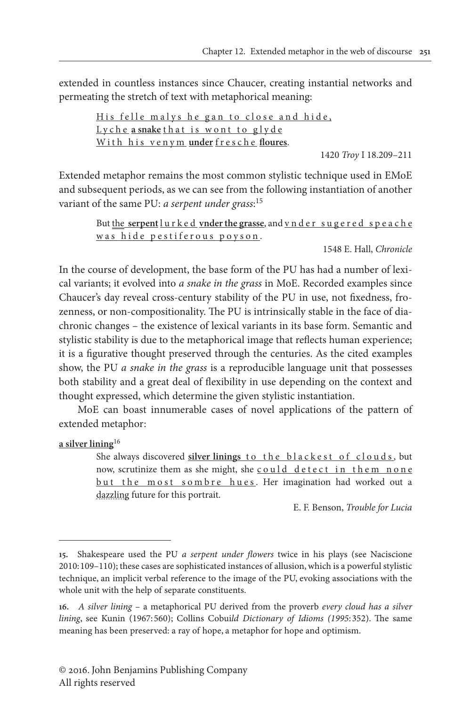extended in countless instances since Chaucer, creating instantial networks and permeating the stretch of text with metaphorical meaning:

> His felle malys he gan to close and hide, Lyche **a snake** that is wont to glyde With his venym **under** fresche **floures**.

1420 *Troy* I 18.209–211

Extended metaphor remains the most common stylistic technique used in EMoE and subsequent periods, as we can see from the following instantiation of another variant of the same PU: *a serpent under grass*: 15

> But the **serpent** lurked **vnder the grasse**, and ynder sugered speache was hide pestiferous poyson.

> > 1548 E. Hall, *Chronicle*

In the course of development, the base form of the PU has had a number of lexical variants; it evolved into *a snake in the grass* in MoE. Recorded examples since Chaucer's day reveal cross-century stability of the PU in use, not fixedness, frozenness, or non-compositionality. The PU is intrinsically stable in the face of diachronic changes – the existence of lexical variants in its base form. Semantic and stylistic stability is due to the metaphorical image that reflects human experience; it is a figurative thought preserved through the centuries. As the cited examples show, the PU *a snake in the grass* is a reproducible language unit that possesses both stability and a great deal of flexibility in use depending on the context and thought expressed, which determine the given stylistic instantiation.

MoE can boast innumerable cases of novel applications of the pattern of extended metaphor:

**a silver lining**<sup>16</sup>

She always discovered **silver linings** to the blackest of clouds , but now, scrutinize them as she might, she could detect in them none but the most sombre hues. Her imagination had worked out a dazzling future for this portrait.

E. F. Benson, *Trouble for Lucia*

**<sup>.</sup>**  Shakespeare used the PU *a serpent under flowers* twice in his plays (see [Naciscione](#page-25-2)  [2010](#page-25-2):109–110); these cases are sophisticated instances of allusion, which is a powerful stylistic technique, an implicit verbal reference to the image of the PU, evoking associations with the whole unit with the help of separate constituents.

**<sup>.</sup>**  *A silver lining* – a metaphorical PU derived from the proverb *every cloud has a silver lining*, see [Kunin \(1967](#page-25-8):560); Collins Cobui*[ld Dictionary of Idioms \(1995](#page-25-9)*:352). The same meaning has been preserved: a ray of hope, a metaphor for hope and optimism.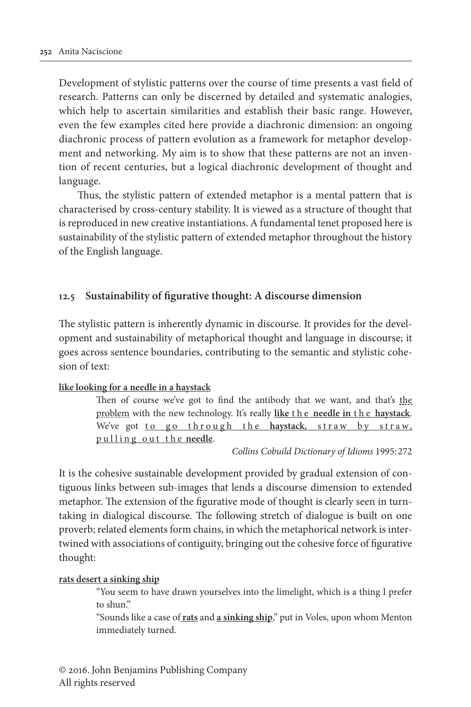Development of stylistic patterns over the course of time presents a vast field of research. Patterns can only be discerned by detailed and systematic analogies, which help to ascertain similarities and establish their basic range. However, even the few examples cited here provide a diachronic dimension: an ongoing diachronic process of pattern evolution as a framework for metaphor development and networking. My aim is to show that these patterns are not an invention of recent centuries, but a logical diachronic development of thought and language.

Thus, the stylistic pattern of extended metaphor is a mental pattern that is characterised by cross-century stability. It is viewed as a structure of thought that is reproduced in new creative instantiations. A fundamental tenet proposed here is sustainability of the stylistic pattern of extended metaphor throughout the history of the English language.

#### **12.5 Sustainability of figurative thought: A discourse dimension**

The stylistic pattern is inherently dynamic in discourse. It provides for the development and sustainability of metaphorical thought and language in discourse; it goes across sentence boundaries, contributing to the semantic and stylistic cohesion of text:

#### **like looking for a needle in a haystack**

Then of course we've got to find the antibody that we want, and that's the problem with the new technology. It's really **like** the **needle in** the **haystack**. We've got to go through the haystack, straw by straw, pulling out the **needle**.

*Collins Cobuild Dictionary of Idioms* 1995: 272

It is the cohesive sustainable development provided by gradual extension of contiguous links between sub-images that lends a discourse dimension to extended metaphor. The extension of the figurative mode of thought is clearly seen in turntaking in dialogical discourse. The following stretch of dialogue is built on one proverb; related elements form chains, in which the metaphorical network is intertwined with associations of contiguity, bringing out the cohesive force of figurative thought:

#### **rats desert a sinking ship**

"You seem to have drawn yourselves into the limelight, which is a thing I prefer to shun."

"Sounds like a case of **rats** and **a sinking ship**," put in Voles, upon whom Menton immediately turned.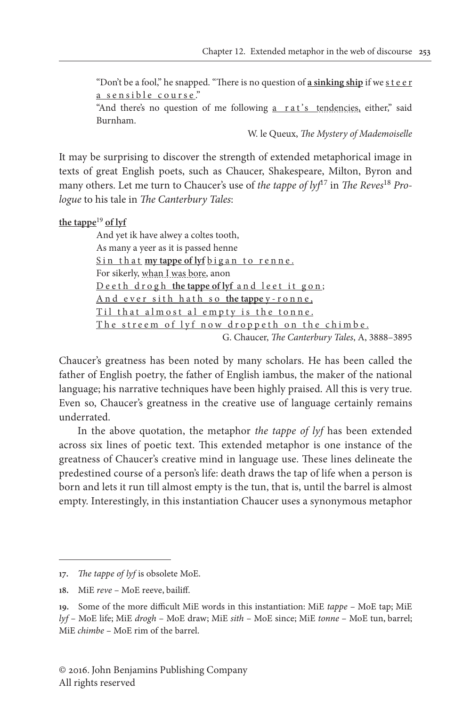"Don't be a fool," he snapped. "There is no question of **a sinking ship** if we s t e e r a sensible course."

"And there's no question of me following a rat's tendencies, either," said Burnham.

W. le Queux, *The Mystery of Mademoiselle*

It may be surprising to discover the strength of extended metaphorical image in texts of great English poets, such as Chaucer, Shakespeare, Milton, Byron and many others. Let me turn to Chaucer's use of *the tappe of lyf*17 in *The Reves*18 *Prologue* to his tale in *The Canterbury Tales*:

#### **the tappe**<sup>19</sup> **of lyf**

And yet ik have alwey a coltes tooth, As many a yeer as it is passed henne Sin that **my tappe of lyf** bigan to renne. For sikerly, whan I was bore, anon Deeth drogh **the tappe of lyf** and leet it gon ; And ever sith hath so **the tappe** y - ronne, Til that almost al empty is the tonne. The streem of lyf now droppeth on the chimbe. G. Chaucer, *The Canterbury Tales*, A, 3888–3895

Chaucer's greatness has been noted by many scholars. He has been called the father of English poetry, the father of English iambus, the maker of the national language; his narrative techniques have been highly praised. All this is very true. Even so, Chaucer's greatness in the creative use of language certainly remains underrated.

In the above quotation, the metaphor *the tappe of lyf* has been extended across six lines of poetic text. This extended metaphor is one instance of the greatness of Chaucer's creative mind in language use. These lines delineate the predestined course of a person's life: death draws the tap of life when a person is born and lets it run till almost empty is the tun, that is, until the barrel is almost empty. Interestingly, in this instantiation Chaucer uses a synonymous metaphor

**<sup>.</sup>**  *The tappe of lyf* is obsolete MoE.

**<sup>.</sup>**  MiE *reve* – MoE reeve, bailiff.

**<sup>.</sup>**  Some of the more difficult MiE words in this instantiation: MiE *tappe* – MoE tap; MiE

*lyf* – MoE life; MiE *drogh* – MoE draw; MiE *sith* – MoE since; MiE *tonne* – MoE tun, barrel; MiE *chimbe* – MoE rim of the barrel.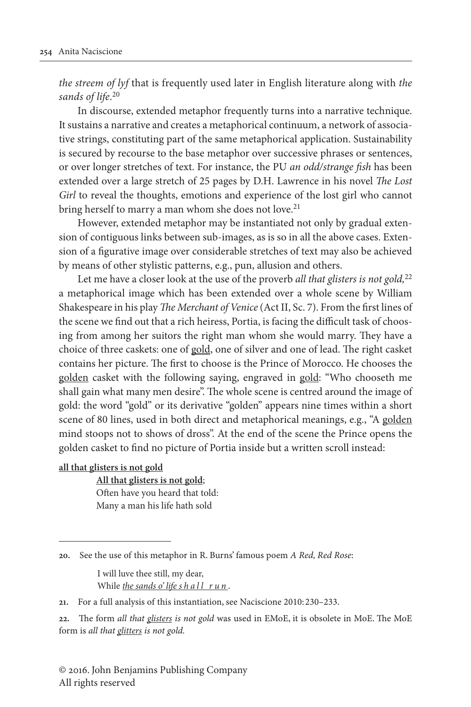*the streem of lyf* that is frequently used later in English literature along with *the sands of life*. 20

In discourse, extended metaphor frequently turns into a narrative technique. It sustains a narrative and creates a metaphorical continuum, a network of associative strings, constituting part of the same metaphorical application. Sustainability is secured by recourse to the base metaphor over successive phrases or sentences, or over longer stretches of text. For instance, the PU *an odd/strange fish* has been extended over a large stretch of 25 pages by D.H. Lawrence in his novel *The Lost Girl* to reveal the thoughts, emotions and experience of the lost girl who cannot bring herself to marry a man whom she does not love.<sup>21</sup>

However, extended metaphor may be instantiated not only by gradual extension of contiguous links between sub-images, as is so in all the above cases. Extension of a figurative image over considerable stretches of text may also be achieved by means of other stylistic patterns, e.g., pun, allusion and others.

Let me have a closer look at the use of the proverb *all that glisters is not gold,*<sup>22</sup> a metaphorical image which has been extended over a whole scene by William Shakespeare in his play *The Merchant of Venice* (Act II, Sc. 7). From the first lines of the scene we find out that a rich heiress, Portia, is facing the difficult task of choosing from among her suitors the right man whom she would marry. They have a choice of three caskets: one of gold, one of silver and one of lead. The right casket contains her picture. The first to choose is the Prince of Morocco. He chooses the golden casket with the following saying, engraved in gold: "Who chooseth me shall gain what many men desire". The whole scene is centred around the image of gold: the word "gold" or its derivative "golden" appears nine times within a short scene of 80 lines, used in both direct and metaphorical meanings, e.g., "A golden mind stoops not to shows of dross". At the end of the scene the Prince opens the golden casket to find no picture of Portia inside but a written scroll instead:

#### **all that glisters is not gold**

**All that glisters is not gold**; Often have you heard that told: Many a man his life hath sold

**.**  See the use of this metaphor in R. Burns' famous poem *A Red, Red Rose*:

 I will luve thee still, my dear, While *the sands o' life shall run* .

**.**  For a full analysis of this instantiation, see Naciscione 2010:230–233.

**<sup>.</sup>**  The form *all that glisters is not gold* was used in EMoE, it is obsolete in MoE. The MoE form is *all that glitters is not gold.*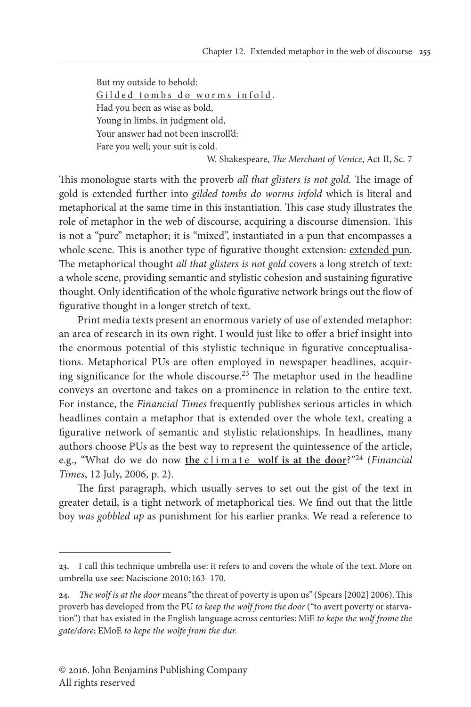But my outside to behold: Gilded tombs do worms infold. Had you been as wise as bold, Young in limbs, in judgment old, Your answer had not been inscroll'd: Fare you well; your suit is cold.

W. Shakespeare, *The Merchant of Venice*, Act II, Sc. 7

This monologue starts with the proverb *all that glisters is not gold.* The image of gold is extended further into *gilded tombs do worms infold* which is literal and metaphorical at the same time in this instantiation. This case study illustrates the role of metaphor in the web of discourse, acquiring a discourse dimension. This is not a "pure" metaphor; it is "mixed", instantiated in a pun that encompasses a whole scene. This is another type of figurative thought extension: extended pun. The metaphorical thought *all that glisters is not gold* covers a long stretch of text: a whole scene, providing semantic and stylistic cohesion and sustaining figurative thought. Only identification of the whole figurative network brings out the flow of figurative thought in a longer stretch of text.

Print media texts present an enormous variety of use of extended metaphor: an area of research in its own right. I would just like to offer a brief insight into the enormous potential of this stylistic technique in figurative conceptualisations. Metaphorical PUs are often employed in newspaper headlines, acquiring significance for the whole discourse.<sup>23</sup> The metaphor used in the headline conveys an overtone and takes on a prominence in relation to the entire text. For instance, the *Financial Times* frequently publishes serious articles in which headlines contain a metaphor that is extended over the whole text, creating a figurative network of semantic and stylistic relationships. In headlines, many authors choose PUs as the best way to represent the quintessence of the article, e.g., "What do we do now **the** climate **wolf is at the door**?"24 (*Financial Times*, 12 July, 2006, p. 2).

The first paragraph, which usually serves to set out the gist of the text in greater detail, is a tight network of metaphorical ties. We find out that the little boy *was gobbled up* as punishment for his earlier pranks. We read a reference to

**<sup>.</sup>**  I call this technique umbrella use: it refers to and covers the whole of the text. More on umbrella use see: [Naciscione 2010](#page-25-2):163–170.

**<sup>.</sup>**  *The wolf is at the door* means "the threat of poverty is upon us" (Spears [2002] [2006\)](#page-26-2). This proverb has developed from the PU *to keep the wolf from the door* ("to avert poverty or starvation") that has existed in the English language across centuries: MiE *to kepe the wolf frome the gate/dore*; EMoE *to kepe the wolfe from the dur.*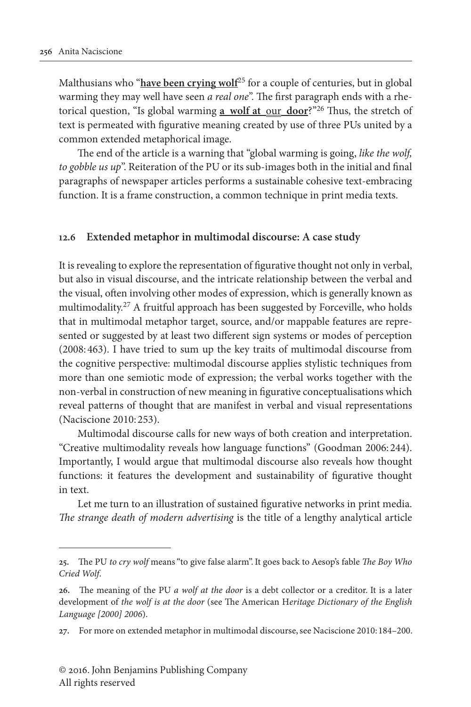Malthusians who "have been crying wolf<sup>25</sup> for a couple of centuries, but in global warming they may well have seen *a real one*". The first paragraph ends with a rhetorical question, "Is global warming **a wolf at** our **door**?"26 Thus, the stretch of text is permeated with figurative meaning created by use of three PUs united by a common extended metaphorical image.

The end of the article is a warning that "global warming is going, *like the wolf, to gobble us up*". Reiteration of the PU or its sub-images both in the initial and final paragraphs of newspaper articles performs a sustainable cohesive text-embracing function. It is a frame construction, a common technique in print media texts.

#### **12.6 Extended metaphor in multimodal discourse: A case study**

It is revealing to explore the representation of figurative thought not only in verbal, but also in visual discourse, and the intricate relationship between the verbal and the visual, often involving other modes of expression, which is generally known as multimodality.27 A fruitful approach has been suggested by Forceville, who holds that in multimodal metaphor target, source, and/or mappable features are represented or suggested by at least two different sign systems or modes of perception (2008: 463). I have tried to sum up the key traits of multimodal discourse from the cognitive perspective: multimodal discourse applies stylistic techniques from more than one semiotic mode of expression; the verbal works together with the non-verbal in construction of new meaning in figurative conceptualisations which reveal patterns of thought that are manifest in verbal and visual representations [\(Naciscione 2010:](#page-25-2) 253).

Multimodal discourse calls for new ways of both creation and interpretation. "Creative multimodality reveals how language functions" ([Goodman 2006:](#page-25-10) 244). Importantly, I would argue that multimodal discourse also reveals how thought functions: it features the development and sustainability of figurative thought in text.

Let me turn to an illustration of sustained figurative networks in print media. *The strange death of modern advertising* is the title of a lengthy analytical article

**<sup>.</sup>**  The PU *to cry wolf* means "to give false alarm". It goes back to Aesop's fable *The Boy Who Cried Wolf*.

**<sup>.</sup>**  The meaning of the PU *a wolf at the door* is a debt collector or a creditor. It is a later development of *the wolf is at the door* (see The American H*[eritage Dictionary of the English](#page-26-3)  [Language \[2000\] 2006](#page-26-3)*).

**<sup>.</sup>**  For more on extended metaphor in multimodal discourse, see [Naciscione 2010](#page-25-2):184–200.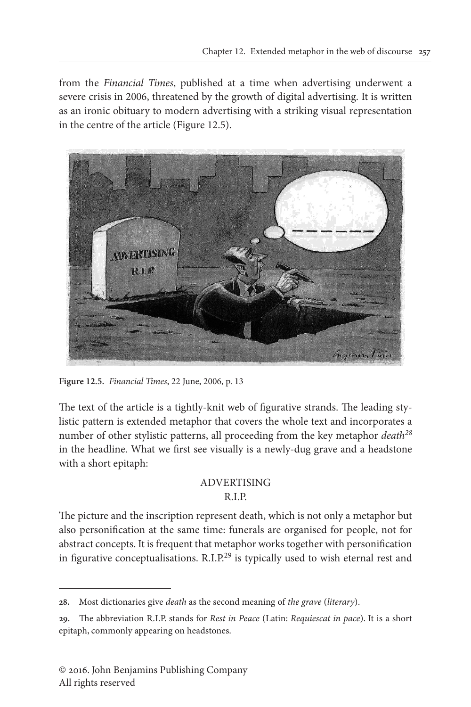from the *Financial Times*, published at a time when advertising underwent a severe crisis in 2006, threatened by the growth of digital advertising. It is written as an ironic obituary to modern advertising with a striking visual representation in the centre of the article (Figure 12.5).



**Figure 12.5.** *Financial Times*, 22 June, 2006, p. 13

The text of the article is a tightly-knit web of figurative strands. The leading stylistic pattern is extended metaphor that covers the whole text and incorporates a number of other stylistic patterns, all proceeding from the key metaphor *death<sup>28</sup>* in the headline. What we first see visually is a newly-dug grave and a headstone with a short epitaph:

# ADVERTISING R.I.P.

The picture and the inscription represent death, which is not only a metaphor but also personification at the same time: funerals are organised for people, not for abstract concepts. It is frequent that metaphor works together with personification in figurative conceptualisations. R.I.P.<sup>29</sup> is typically used to wish eternal rest and

**<sup>.</sup>**  Most dictionaries give *death* as the second meaning of *the grave* (*literary*).

**<sup>.</sup>**  The abbreviation R.I.P. stands for *Rest in Peace* (Latin: *Requiescat in pace*). It is a short epitaph, commonly appearing on headstones.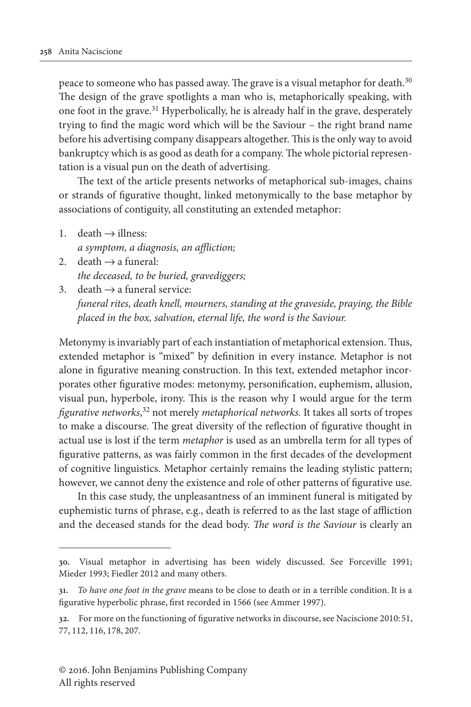peace to someone who has passed away. The grave is a visual metaphor for death.<sup>30</sup> The design of the grave spotlights a man who is, metaphorically speaking, with one foot in the grave.<sup>31</sup> Hyperbolically, he is already half in the grave, desperately trying to find the magic word which will be the Saviour – the right brand name before his advertising company disappears altogether. This is the only way to avoid bankruptcy which is as good as death for a company. The whole pictorial representation is a visual pun on the death of advertising.

The text of the article presents networks of metaphorical sub-images, chains or strands of figurative thought, linked metonymically to the base metaphor by associations of contiguity, all constituting an extended metaphor:

- 1. death  $\rightarrow$  illness: *a symptom, a diagnosis, an affliction;*
- 2. death  $\rightarrow$  a funeral: *the deceased, to be buried, gravediggers;*
- 3. death  $\rightarrow$  a funeral service: *funeral rites, death knell, mourners, standing at the graveside, praying, the Bible placed in the box, salvation, eternal life, the word is the Saviour.*

Metonymy is invariably part of each instantiation of metaphorical extension. Thus, extended metaphor is "mixed" by definition in every instance. Metaphor is not alone in figurative meaning construction. In this text, extended metaphor incorporates other figurative modes: metonymy, personification, euphemism, allusion, visual pun, hyperbole, irony. This is the reason why I would argue for the term *figurative networks*, 32 not merely *metaphorical networks.* It takes all sorts of tropes to make a discourse. The great diversity of the reflection of figurative thought in actual use is lost if the term *metaphor* is used as an umbrella term for all types of figurative patterns, as was fairly common in the first decades of the development of cognitive linguistics. Metaphor certainly remains the leading stylistic pattern; however, we cannot deny the existence and role of other patterns of figurative use.

In this case study, the unpleasantness of an imminent funeral is mitigated by euphemistic turns of phrase, e.g., death is referred to as the last stage of affliction and the deceased stands for the dead body. *The word is the Saviour* is clearly an

**<sup>.</sup>**  Visual metaphor in advertising has been widely discussed. See [Forceville 1991;](#page-25-11) [Mieder 1993](#page-25-12); [Fiedler 2012](#page-25-13) and many others.

**<sup>.</sup>**  *To have one foot in the grave* means to be close to death or in a terrible condition. It is a figurative hyperbolic phrase, first recorded in 1566 (see [Ammer 1997\)](#page-24-1).

**<sup>.</sup>**  For more on the functioning of figurative networks in discourse, see [Naciscione 2010](#page-25-2):51, 77, 112, 116, 178, 207.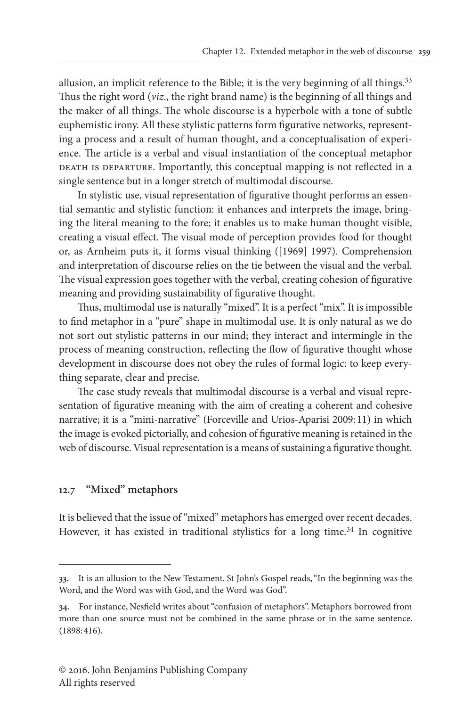allusion, an implicit reference to the Bible; it is the very beginning of all things. $33$ Thus the right word (*viz*., the right brand name) is the beginning of all things and the maker of all things. The whole discourse is a hyperbole with a tone of subtle euphemistic irony. All these stylistic patterns form figurative networks, representing a process and a result of human thought, and a conceptualisation of experience. The article is a verbal and visual instantiation of the conceptual metaphor DEATH IS DEPARTURE. Importantly, this conceptual mapping is not reflected in a single sentence but in a longer stretch of multimodal discourse.

In stylistic use, visual representation of figurative thought performs an essential semantic and stylistic function: it enhances and interprets the image, bringing the literal meaning to the fore; it enables us to make human thought visible, creating a visual effect. The visual mode of perception provides food for thought or, as Arnheim puts it, it forms visual thinking ([[1969\] 1997](#page-25-14)). Comprehension and interpretation of discourse relies on the tie between the visual and the verbal. The visual expression goes together with the verbal, creating cohesion of figurative meaning and providing sustainability of figurative thought.

Thus, multimodal use is naturally "mixed". It is a perfect "mix". It is impossible to find metaphor in a "pure" shape in multimodal use. It is only natural as we do not sort out stylistic patterns in our mind; they interact and intermingle in the process of meaning construction, reflecting the flow of figurative thought whose development in discourse does not obey the rules of formal logic: to keep everything separate, clear and precise.

The case study reveals that multimodal discourse is a verbal and visual representation of figurative meaning with the aim of creating a coherent and cohesive narrative; it is a "mini-narrative" [\(Forceville and Urios-Aparisi 2009:](#page-25-15)11) in which the image is evoked pictorially, and cohesion of figurative meaning is retained in the web of discourse. Visual representation is a means of sustaining a figurative thought.

# **12.7 "Mixed" metaphors**

It is believed that the issue of "mixed" metaphors has emerged over recent decades. However, it has existed in traditional stylistics for a long time.<sup>34</sup> In cognitive

**<sup>.</sup>**  It is an allusion to the New Testament. St John's Gospel reads, "In the beginning was the Word, and the Word was with God, and the Word was God".

**<sup>.</sup>**  For instance, Nesfield writes about "confusion of metaphors". Metaphors borrowed from more than one source must not be combined in the same phrase or in the same sentence. ([1898](#page-26-4):416).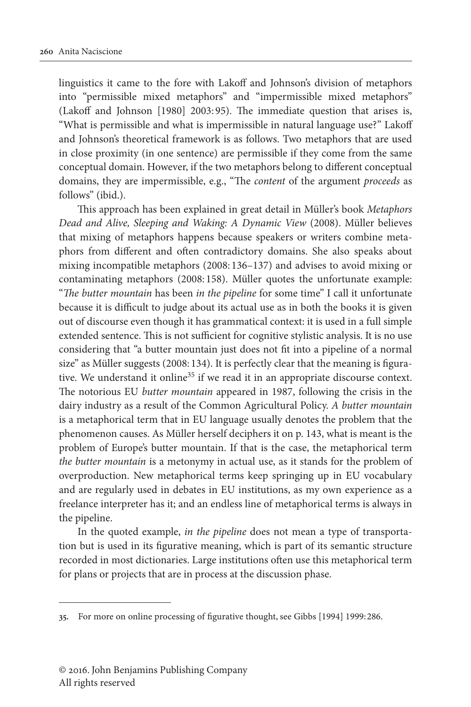linguistics it came to the fore with Lakoff and Johnson's division of metaphors into "permissible mixed metaphors" and "impermissible mixed metaphors" (Lakoff and Johnson [1980] 2003: 95). The immediate question that arises is, "What is permissible and what is impermissible in natural language use?" Lakoff and Johnson's theoretical framework is as follows. Two metaphors that are used in close proximity (in one sentence) are permissible if they come from the same conceptual domain. However, if the two metaphors belong to different conceptual domains, they are impermissible, e.g., "The *content* of the argument *proceeds* as follows" (ibid.).

This approach has been explained in great detail in Müller's book *Metaphors Dead and Alive, Sleeping and Waking: A Dynamic View* [\(2008](#page-25-16)). Müller believes that mixing of metaphors happens because speakers or writers combine metaphors from different and often contradictory domains. She also speaks about mixing incompatible metaphors ([2008](#page-25-16): 136–137) and advises to avoid mixing or contaminating metaphors [\(2008:](#page-25-16) 158). Müller quotes the unfortunate example: "*The butter mountain* has been *in the pipeline* for some time" I call it unfortunate because it is difficult to judge about its actual use as in both the books it is given out of discourse even though it has grammatical context: it is used in a full simple extended sentence. This is not sufficient for cognitive stylistic analysis. It is no use considering that "a butter mountain just does not fit into a pipeline of a normal size" as Müller suggests ([2008](#page-25-16): 134). It is perfectly clear that the meaning is figurative. We understand it online<sup>35</sup> if we read it in an appropriate discourse context. The notorious EU *butter mountain* appeared in 1987, following the crisis in the dairy industry as a result of the Common Agricultural Policy. *A butter mountain* is a metaphorical term that in EU language usually denotes the problem that the phenomenon causes. As Müller herself deciphers it on p. 143, what is meant is the problem of Europe's butter mountain. If that is the case, the metaphorical term *the butter mountain* is a metonymy in actual use, as it stands for the problem of overproduction. New metaphorical terms keep springing up in EU vocabulary and are regularly used in debates in EU institutions, as my own experience as a freelance interpreter has it; and an endless line of metaphorical terms is always in the pipeline.

In the quoted example, *in the pipeline* does not mean a type of transportation but is used in its figurative meaning, which is part of its semantic structure recorded in most dictionaries. Large institutions often use this metaphorical term for plans or projects that are in process at the discussion phase.

**<sup>.</sup>**  For more on online processing of figurative thought, see [Gibbs \[1994](#page-25-3)] [1999](#page-25-4):286.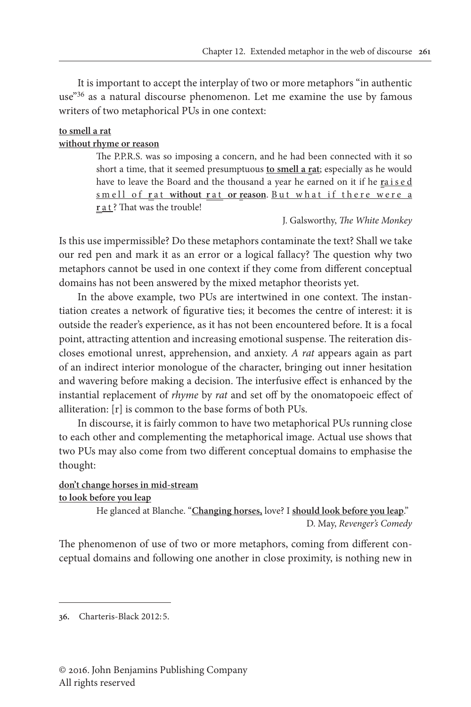It is important to accept the interplay of two or more metaphors "in authentic use"<sup>36</sup> as a natural discourse phenomenon. Let me examine the use by famous writers of two metaphorical PUs in one context:

#### **to smell a rat without rhyme or reason**

The P.P.R.S. was so imposing a concern, and he had been connected with it so short a time, that it seemed presumptuous **to smell a rat**; especially as he would have to leave the Board and the thousand a year he earned on it if he raised smell of rat without rat or reason. But what if there were a **r** a t? That was the trouble!

J. Galsworthy, *The White Monkey*

Is this use impermissible? Do these metaphors contaminate the text? Shall we take our red pen and mark it as an error or a logical fallacy? The question why two metaphors cannot be used in one context if they come from different conceptual domains has not been answered by the mixed metaphor theorists yet.

In the above example, two PUs are intertwined in one context. The instantiation creates a network of figurative ties; it becomes the centre of interest: it is outside the reader's experience, as it has not been encountered before. It is a focal point, attracting attention and increasing emotional suspense. The reiteration discloses emotional unrest, apprehension, and anxiety. *A rat* appears again as part of an indirect interior monologue of the character, bringing out inner hesitation and wavering before making a decision. The interfusive effect is enhanced by the instantial replacement of *rhyme* by *rat* and set off by the onomatopoeic effect of alliteration: [r] is common to the base forms of both PUs.

In discourse, it is fairly common to have two metaphorical PUs running close to each other and complementing the metaphorical image. Actual use shows that two PUs may also come from two different conceptual domains to emphasise the thought:

#### **don't change horses in mid-stream to look before you leap**

He glanced at Blanche. "**Changing horses,** love? I **should look before you leap**." D. May, *Revenger's Comedy*

The phenomenon of use of two or more metaphors, coming from different conceptual domains and following one another in close proximity, is nothing new in

**.**  [Charteris-Black 2012:](#page-25-17)5.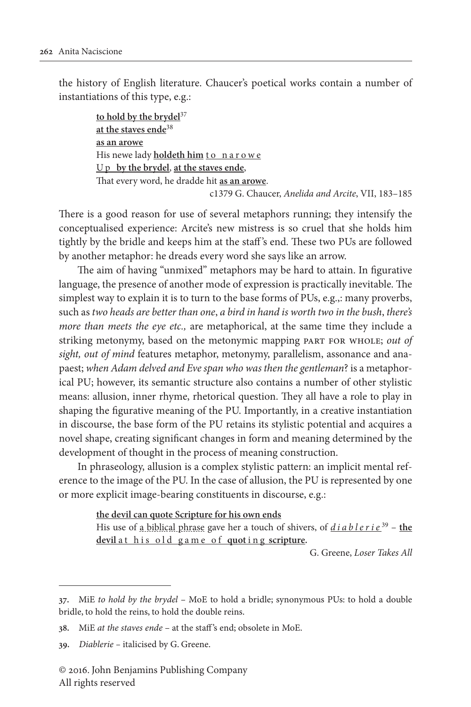the history of English literature. Chaucer's poetical works contain a number of instantiations of this type, e.g.:

> **to hold by the brydel**<sup>37</sup> **at the staves ende**<sup>38</sup> **as an arowe** His newe lady **holdeth him** to narowe Up **by the brydel**, **at the staves ende**, That every word, he dradde hit **as an arowe**. c1379 G. Chaucer, *Anelida and Arcite*, VII, 183–185

There is a good reason for use of several metaphors running; they intensify the conceptualised experience: Arcite's new mistress is so cruel that she holds him tightly by the bridle and keeps him at the staff 's end. These two PUs are followed by another metaphor: he dreads every word she says like an arrow.

The aim of having "unmixed" metaphors may be hard to attain. In figurative language, the presence of another mode of expression is practically inevitable. The simplest way to explain it is to turn to the base forms of PUs, e.g.,: many proverbs, such as *two heads are better than one*, *a bird in hand is worth two in the bush*, *there's more than meets the eye etc.,* are metaphorical, at the same time they include a striking metonymy, based on the metonymic mapping part for whole; *out of sight, out of mind features metaphor, metonymy, parallelism, assonance and ana*paest; when *Adam delved and Eve span who was then the gentleman*? is a metaphorical PU; however, its semantic structure also contains a number of other stylistic means: allusion, inner rhyme, rhetorical question. They all have a role to play in shaping the figurative meaning of the PU. Importantly, in a creative instantiation in discourse, the base form of the PU retains its stylistic potential and acquires a novel shape, creating significant changes in form and meaning determined by the development of thought in the process of meaning construction.

In phraseology, allusion is a complex stylistic pattern: an implicit mental reference to the image of the PU. In the case of allusion, the PU is represented by one or more explicit image-bearing constituents in discourse, e.g.:

**the devil can quote Scripture for his own ends**

His use of a biblical phrase gave her a touch of shivers, of *diablerie* 39 – **the devil** at his old game of **quot** ing **scripture.**

G. Greene, *Loser Takes All*

© 2016. John Benjamins Publishing Company All rights reserved

**<sup>.</sup>**  MiE *to hold by the brydel* – MoE to hold a bridle; synonymous PUs: to hold a double bridle, to hold the reins, to hold the double reins.

**<sup>.</sup>**  MiE *at the staves ende* – at the staff's end; obsolete in MoE.

**<sup>.</sup>**  *Diablerie –* italicised by G. Greene.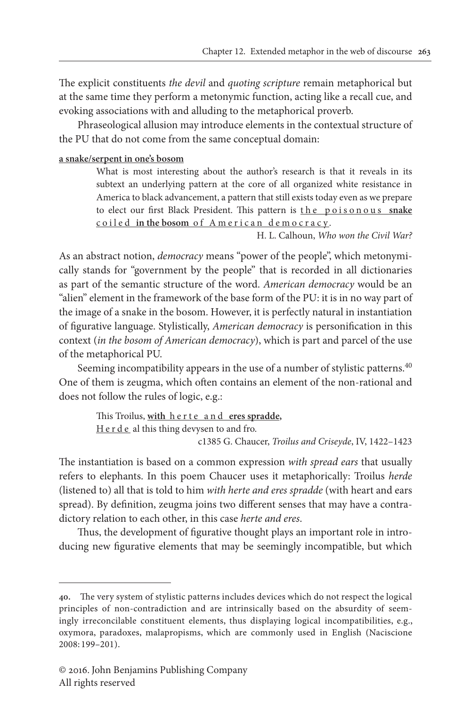The explicit constituents *the devil* and *quoting scripture* remain metaphorical but at the same time they perform a metonymic function, acting like a recall cue, and evoking associations with and alluding to the metaphorical proverb.

Phraseological allusion may introduce elements in the contextual structure of the PU that do not come from the same conceptual domain:

#### **a snake/serpent in one's bosom**

What is most interesting about the author's research is that it reveals in its subtext an underlying pattern at the core of all organized white resistance in America to black advancement, a pattern that still exists today even as we prepare to elect our first Black President. This pattern is the poisonous **snake** coiled **in the bosom** of American democracy .

H. L. Calhoun, *Who won the Civil War?*

As an abstract notion, *democracy* means "power of the people", which metonymically stands for "government by the people" that is recorded in all dictionaries as part of the semantic structure of the word. *American democracy* would be an "alien" element in the framework of the base form of the PU: it is in no way part of the image of a snake in the bosom. However, it is perfectly natural in instantiation of figurative language. Stylistically, *American democracy* is personification in this context (*in the bosom of American democracy*), which is part and parcel of the use of the metaphorical PU.

Seeming incompatibility appears in the use of a number of stylistic patterns.<sup>40</sup> One of them is zeugma, which often contains an element of the non-rational and does not follow the rules of logic, e.g.:

> This Troilus, **with** herte and **eres spradde,** Herde al this thing devysen to and fro. c1385 G. Chaucer, *Troilus and Criseyde*, IV, 1422–1423

The instantiation is based on a common expression *with spread ears* that usually refers to elephants. In this poem Chaucer uses it metaphorically: Troilus *herde* (listened to) all that is told to him *with herte and eres spradde* (with heart and ears spread). By definition, zeugma joins two different senses that may have a contradictory relation to each other, in this case *herte and eres*.

Thus, the development of figurative thought plays an important role in introducing new figurative elements that may be seemingly incompatible, but which

**<sup>.</sup>**  The very system of stylistic patterns includes devices which do not respect the logical principles of non-contradiction and are intrinsically based on the absurdity of seemingly irreconcilable constituent elements, thus displaying logical incompatibilities, e.g., oxymora, paradoxes, malapropisms, which are commonly used in English [\(Naciscione](#page-25-18)  [2008:](#page-25-18) 199–201).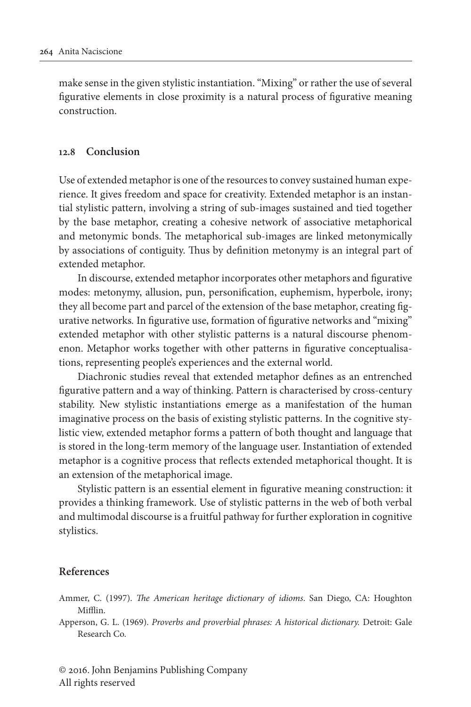make sense in the given stylistic instantiation. "Mixing" or rather the use of several figurative elements in close proximity is a natural process of figurative meaning construction.

#### **12.8 Conclusion**

Use of extended metaphor is one of the resources to convey sustained human experience. It gives freedom and space for creativity. Extended metaphor is an instantial stylistic pattern, involving a string of sub-images sustained and tied together by the base metaphor, creating a cohesive network of associative metaphorical and metonymic bonds. The metaphorical sub-images are linked metonymically by associations of contiguity. Thus by definition metonymy is an integral part of extended metaphor.

In discourse, extended metaphor incorporates other metaphors and figurative modes: metonymy, allusion, pun, personification, euphemism, hyperbole, irony; they all become part and parcel of the extension of the base metaphor, creating figurative networks*.* In figurative use, formation of figurative networks and "mixing" extended metaphor with other stylistic patterns is a natural discourse phenomenon. Metaphor works together with other patterns in figurative conceptualisations, representing people's experiences and the external world.

Diachronic studies reveal that extended metaphor defines as an entrenched figurative pattern and a way of thinking. Pattern is characterised by cross-century stability. New stylistic instantiations emerge as a manifestation of the human imaginative process on the basis of existing stylistic patterns. In the cognitive stylistic view, extended metaphor forms a pattern of both thought and language that is stored in the long-term memory of the language user. Instantiation of extended metaphor is a cognitive process that reflects extended metaphorical thought. It is an extension of the metaphorical image.

Stylistic pattern is an essential element in figurative meaning construction: it provides a thinking framework. Use of stylistic patterns in the web of both verbal and multimodal discourse is a fruitful pathway for further exploration in cognitive stylistics.

#### **References**

<span id="page-24-1"></span>Ammer, C. (1997). *The American heritage dictionary of idioms*. San Diego, CA: Houghton Mifflin.

<span id="page-24-0"></span>Apperson, G. L. (1969). *Proverbs and proverbial phrases: A historical dictionary.* Detroit: Gale Research Co.

© 2016. John Benjamins Publishing Company All rights reserved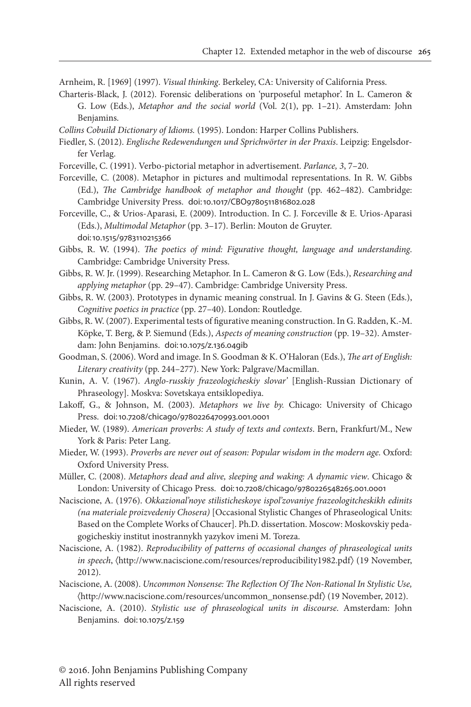- <span id="page-25-14"></span>Arnheim, R. [1969] (1997). *Visual thinking*. Berkeley, CA: University of California Press.
- <span id="page-25-17"></span>Charteris-Black, J. (2012). Forensic deliberations on 'purposeful metaphor'. In L. Cameron & G. Low (Eds.), *Metaphor and the social world* (Vol. 2(1), pp. 1–21). Amsterdam: John Benjamins.
- <span id="page-25-9"></span>*Collins Cobuild Dictionary of Idioms.* (1995). London: Harper Collins Publishers.
- <span id="page-25-13"></span>Fiedler, S. (2012). *Englische Redewendungen und Sprichwörter in der Praxis*. Leipzig: Engelsdor‑ fer Verlag.
- <span id="page-25-11"></span>Forceville, C. (1991). Verbo-pictorial metaphor in advertisement. *Parlance, 3*, 7–20.
- Forceville, C. (2008). Metaphor in pictures and multimodal representations. In R. W. Gibbs (Ed.), *The Cambridge handbook of metaphor and thought* (pp. 462–482). Cambridge: Cambridge University Press. [doi:10.1017/CBO9780511816802.028](http://dx.doi.org/10.1017/CBO9780511816802.028
)
- <span id="page-25-15"></span>Forceville, C., & Urios-Aparasi, E. (2009). Introduction. In C. J. Forceville & E. Urios-Aparasi (Eds.), *Multimodal Metaphor* (pp. 3–17). Berlin: Mouton de Gruyter. [doi:10.1515/9783110215366](http://dx.doi.org/10.1515/9783110215366
)
- <span id="page-25-3"></span>Gibbs, R. W. (1994). *The poetics of mind: Figurative thought, language and understanding*. Cambridge: Cambridge University Press.
- <span id="page-25-4"></span>Gibbs, R. W. Jr. (1999). Researching Metaphor. In L. Cameron & G. Low (Eds.), *Researching and applying metaphor* (pp. 29–47). Cambridge: Cambridge University Press.
- <span id="page-25-0"></span>Gibbs, R. W. (2003). Prototypes in dynamic meaning construal. In J. Gavins & G. Steen (Eds.), *Cognitive poetics in practice* (pp. 27–40). London: Routledge.
- <span id="page-25-6"></span>Gibbs, R. W. (2007). Experimental tests of figurative meaning construction. In G. Radden, K.-M. Köpke, T. Berg, & P. Siemund (Eds.), *Aspects of meaning construction* (pp. 19–32). Amster‑ dam: John Benjamins. [doi:10.1075/z.136.04gib](http://dx.doi.org/10.1075/z.136.04gib
)
- <span id="page-25-10"></span>Goodman, S. (2006). Word and image. In S. Goodman & K. O'Haloran (Eds.), *The art of English: Literary creativity* (pp. 244–277). New York: Palgrave/Macmillan.
- <span id="page-25-8"></span>Kunin, A. V. (1967). *Anglo-russkiy frazeologicheskiy slovar'* [English-Russian Dictionary of Phraseology]. Moskva: Sovetskaya entsiklopediya.
- Lakoff, G., & Johnson, M. (2003). *Metaphors we live by.* Chicago: University of Chicago Press. [doi:10.7208/chicago/9780226470993.001.0001](http://dx.doi.org/10.7208/chicago/9780226470993.001.0001
)
- <span id="page-25-5"></span>Mieder, W. (1989). *American proverbs: A study of texts and contexts*. Bern, Frankfurt/M., New York & Paris: Peter Lang.
- <span id="page-25-12"></span>Mieder, W. (1993). *Proverbs are never out of season: Popular wisdom in the modern age.* Oxford: Oxford University Press.
- <span id="page-25-16"></span>Müller, C. (2008). *Metaphors dead and alive, sleeping and waking: A dynamic view*. Chicago & London: University of Chicago Press. [doi:10.7208/chicago/9780226548265.001.0001](http://dx.doi.org/10.7208/chicago/9780226548265.001.0001
)
- <span id="page-25-7"></span>Naciscione, A. (1976). *Okkazional'noye stilisticheskoye ispol'zovaniye frazeologitcheskikh edinits (na materiale proizvedeniy Chosera)* [Occasional Stylistic Changes of Phraseological Units: Based on the Complete Works of Chaucer]. Ph.D. dissertation. Moscow: Moskovskiy peda‑ gogicheskiy institut inostrannykh yazykov imeni M. Toreza.
- <span id="page-25-1"></span>Naciscione, A. (1982). *Reproducibility of patterns of occasional changes of phraseological units in speech*, 〈http://www.naciscione.com/resources/reproducibility1982.pdf 〉 (19 November, 2012).
- <span id="page-25-18"></span>Naciscione, A. (2008). *[Uncommon Nonsense: The Reflection Of The Non-Rational In Stylistic](http://www.naciscione.com/resources/uncommon_nonsense.pdf) Use,*  〈http://www.naciscione.com/resources/uncommon\_nonsense.pdf〉 (19 November, 2012).
- <span id="page-25-2"></span>Naciscione, A. (2010). *Stylistic use of phraseological units in discourse*. Amsterdam: John Benjamins. [doi:10.1075/z.159](http://dx.doi.org/10.1075/z.159
)

© 2016. John Benjamins Publishing Company All rights reserved